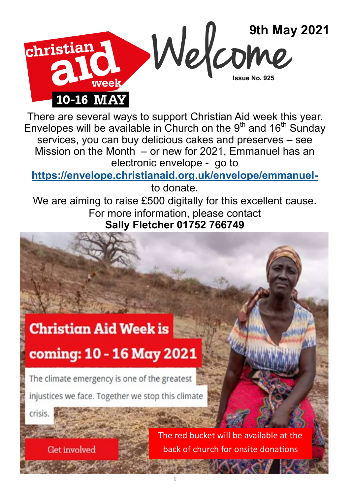

There are several ways to support Christian Aid week this year. Envelopes will be available in Church on the  $9<sup>th</sup>$  and 16<sup>th</sup> Sunday services, you can buy delicious cakes and preserves – see Mission on the Month  $-$  or new for 2021, Emmanuel has an electronic envelope - go to

**[https://envelope.christianaid.org.uk/envelope/emmanuel](https://envelope.christianaid.org.uk/envelope/emmanuel-)-**

to donate.

We are aiming to raise £500 digitally for this excellent cause. For more information, please contact **Sally Fletcher 01752 766749** 

## **Christian Aid Week is**

# coming: 10 - 16 May 2021

The climate emergency is one of the greatest

injustices we face. Together we stop this climate

crisis.

**Get involved** 

The red bucket will be available at the back of church for onsite donations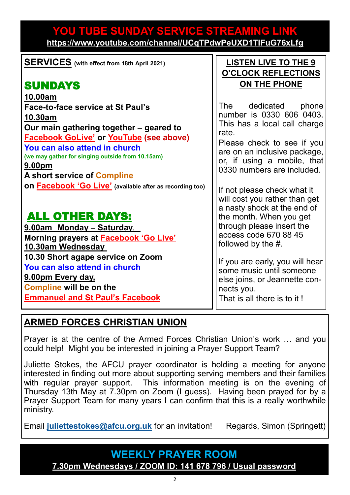### **YOU TUBE SUNDAY SERVICE STREAMING LINK <https://www.youtube.com/channel/UCqTPdwPeUXD1TIFuG76xLfg>**

| <b>SERVICES</b> (with effect from 18th April 2021)                                                                                                                                                                                                                                               | <b>LISTEN LIVE TO THE 9</b><br><b>O'CLOCK REFLECTIONS</b>                                                                                                                                                           |
|--------------------------------------------------------------------------------------------------------------------------------------------------------------------------------------------------------------------------------------------------------------------------------------------------|---------------------------------------------------------------------------------------------------------------------------------------------------------------------------------------------------------------------|
| <b>SUNDAYS</b>                                                                                                                                                                                                                                                                                   | ON THE PHONE                                                                                                                                                                                                        |
| 10.00am<br>Face-to-face service at St Paul's<br><u>10.30am</u><br>Our main gathering together - geared to<br><b>Facebook GoLive' or YouTube (see above)</b><br>You can also attend in church<br>(we may gather for singing outside from 10.15am)<br>9.00pm<br><b>A short service of Compline</b> | The dedicated phone<br>number is 0330 606 0403.<br>This has a local call charge<br>rate.<br>Please check to see if you<br>are on an inclusive package,<br>or, if using a mobile, that<br>0330 numbers are included. |
| On <b>Facebook 'Go Live'</b> (available after as recording too)<br><b>ALL OTHER DAYS:</b>                                                                                                                                                                                                        | If not please check what it<br>will cost you rather than get<br>a nasty shock at the end of<br>the month. When you get                                                                                              |
| 9.00am Monday – Saturday,                                                                                                                                                                                                                                                                        | through please insert the                                                                                                                                                                                           |
| Morning prayers at <b>Facebook 'Go Live'</b><br>10.30am Wednesday                                                                                                                                                                                                                                | access code 670 88 45<br>followed by the #.                                                                                                                                                                         |
| 10.30 Short agape service on Zoom<br>You can also attend in church<br><u>9.00pm Every day,</u>                                                                                                                                                                                                   | If you are early, you will hear<br>some music until someone<br>else joins, or Jeannette con-                                                                                                                        |
| <b>Compline will be on the</b><br><b>Emmanuel and St Paul's Facebook</b>                                                                                                                                                                                                                         | nects you.<br>That is all there is to it!                                                                                                                                                                           |

## **ARMED FORCES CHRISTIAN UNION**

Prayer is at the centre of the Armed Forces Christian Union's work … and you could help! Might you be interested in joining a Prayer Support Team?

Juliette Stokes, the AFCU prayer coordinator is holding a meeting for anyone interested in finding out more about supporting serving members and their families with regular prayer support. This information meeting is on the evening of Thursday 13th May at 7.30pm on Zoom (I guess). Having been prayed for by a Prayer Support Team for many years I can confirm that this is a really worthwhile ministry.

Email [juliettestokes@afcu.org.uk](mailto:juliettestokes@afcu.org.uk) for an invitation! Regards, Simon (Springett)

## **WEEKLY PRAYER ROOM [7.30pm Wednesdays / ZOOM ID: 141 678 796 / Usual password](https://us04web.zoom.us/j/141678796?pwd=VERURTVtcWQzbkZvdXFRMnJpKzg3dz09)**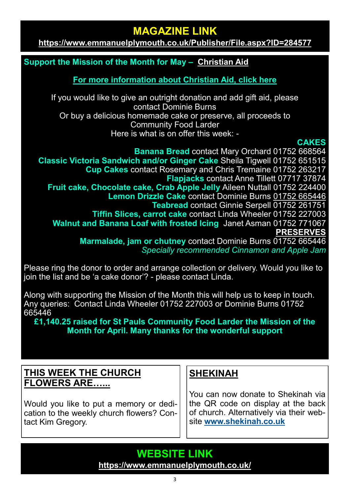## **MAGAZINE LINK**

**<https://www.emmanuelplymouth.co.uk/Publisher/File.aspx?ID=284577>**

#### **Support the Mission of the Month for May – [Christian Aid](https://www.christianaid.org.uk/)**

**[For more information about Christian Aid, click here](https://www.christianaid.org.uk/)**

If you would like to give an outright donation and add gift aid, please contact Dominie Burns Or buy a delicious homemade cake or preserve, all proceeds to Community Food Larder Here is what is on offer this week: -

#### **CAKES**

**Banana Bread** contact Mary Orchard 01752 668564 **Classic Victoria Sandwich and/or Ginger Cake** Sheila Tigwell 01752 651515 **Cup Cakes** contact Rosemary and Chris Tremaine 01752 263217 **Flapjacks** contact Anne Tillett 07717 37874 **Fruit cake, Chocolate cake, Crab Apple Jelly** Aileen Nuttall 01752 224400 **Lemon Drizzle Cake** contact Dominie Burns 01752 665446 **Teabread** contact Ginnie Serpell 01752 261751 **Tiffin Slices, carrot cake** contact Linda Wheeler 01752 227003 **Walnut and Banana Loaf with frosted Icing** Janet Asman 01752 771067 **PRESERVES Marmalade, jam or chutney** contact Dominie Burns 01752 665446 *Specially recommended Cinnamon and Apple Jam*

Please ring the donor to order and arrange collection or delivery. Would you like to join the list and be 'a cake donor'? - please contact Linda.

Along with supporting the Mission of the Month this will help us to keep in touch. Any queries: Contact Linda Wheeler 01752 227003 or Dominie Burns 01752 665446

**£1,140.25 raised for St Pauls Community Food Larder the Mission of the Month for April. Many thanks for the wonderful support** 

#### **THIS WEEK THE CHURCH FLOWERS ARE…...**

Would you like to put a memory or dedication to the weekly church flowers? Contact Kim Gregory.

## **SHEKINAH**

You can now donate to Shekinah via the QR code on display at the back of church. Alternatively via their website **[www.shekinah.co.uk](http://www.shekinah.co.uk)**

**WEBSITE LINK <https://www.emmanuelplymouth.co.uk/>**